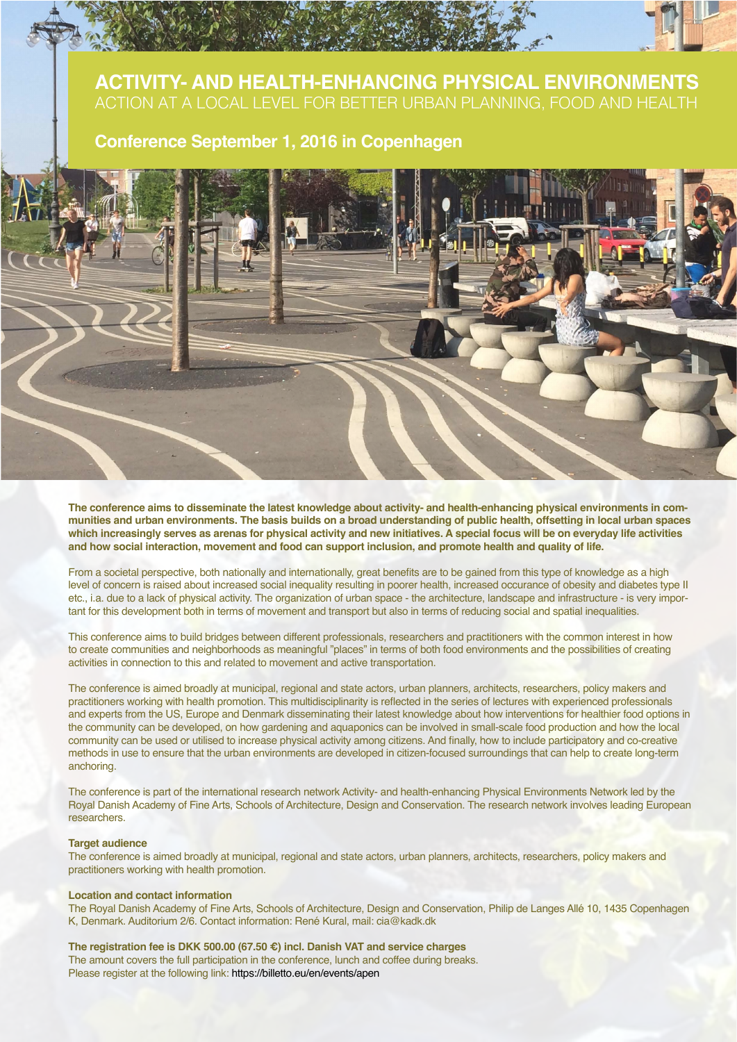# **ACTIVITY- AND HEALTH-ENHANCING PHYSICAL ENVIRONMENTS** ACTION AT A LOCAL LEVEL FOR BETTER URBAN PLANNING, FOOD AND HEALTH

## **Conference September 1, 2016 in Copenhagen**



**The conference aims to disseminate the latest knowledge about activity- and health-enhancing physical environments in communities and urban environments. The basis builds on a broad understanding of public health, offsetting in local urban spaces which increasingly serves as arenas for physical activity and new initiatives. A special focus will be on everyday life activities and how social interaction, movement and food can support inclusion, and promote health and quality of life.**

From a societal perspective, both nationally and internationally, great benefits are to be gained from this type of knowledge as a high level of concern is raised about increased social inequality resulting in poorer health, increased occurance of obesity and diabetes type II etc., i.a. due to a lack of physical activity. The organization of urban space - the architecture, landscape and infrastructure - is very important for this development both in terms of movement and transport but also in terms of reducing social and spatial inequalities.

This conference aims to build bridges between different professionals, researchers and practitioners with the common interest in how to create communities and neighborhoods as meaningful "places" in terms of both food environments and the possibilities of creating activities in connection to this and related to movement and active transportation.

The conference is aimed broadly at municipal, regional and state actors, urban planners, architects, researchers, policy makers and practitioners working with health promotion. This multidisciplinarity is reflected in the series of lectures with experienced professionals and experts from the US, Europe and Denmark disseminating their latest knowledge about how interventions for healthier food options in the community can be developed, on how gardening and aquaponics can be involved in small-scale food production and how the local community can be used or utilised to increase physical activity among citizens. And finally, how to include participatory and co-creative methods in use to ensure that the urban environments are developed in citizen-focused surroundings that can help to create long-term anchoring.

The conference is part of the international research network Activity- and health-enhancing Physical Environments Network led by the Royal Danish Academy of Fine Arts, Schools of Architecture, Design and Conservation. The research network involves leading European researchers.

#### **Target audience**

The conference is aimed broadly at municipal, regional and state actors, urban planners, architects, researchers, policy makers and practitioners working with health promotion.

#### **Location and contact information**

The Royal Danish Academy of Fine Arts, Schools of Architecture, Design and Conservation, Philip de Langes Allé 10, 1435 Copenhagen K, Denmark. Auditorium 2/6. Contact information: René Kural, mail: cia@kadk.dk

### **The registration fee is DKK 500.00 (67.50 €) incl. Danish VAT and service charges**

The amount covers the full participation in the conference, lunch and coffee during breaks. Please register at the following link: https://billetto.eu/en/events/apen